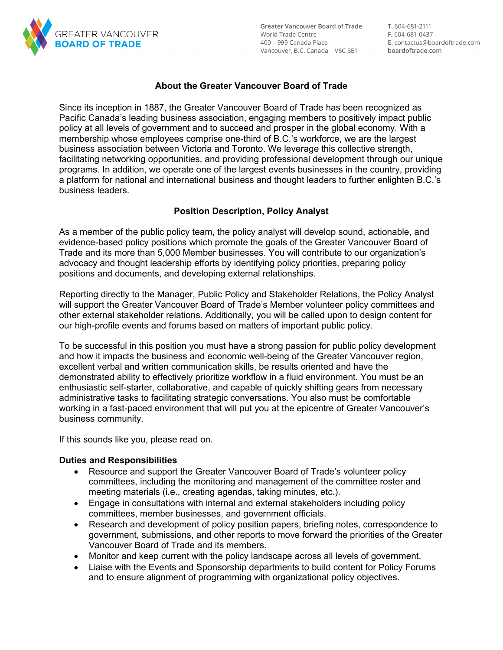

**Greater Vancouver Board of Trade** World Trade Centre 400 – 999 Canada Place Vancouver, B.C. Canada V6C 3E1 T. 604-681-2111 F. 604-681-0437 E. contactus@boardoftrade.com boardoftrade.com

## **About the Greater Vancouver Board of Trade**

Since its inception in 1887, the Greater Vancouver Board of Trade has been recognized as Pacific Canada's leading business association, engaging members to positively impact public policy at all levels of government and to succeed and prosper in the global economy. With a membership whose employees comprise one-third of B.C.'s workforce, we are the largest business association between Victoria and Toronto. We leverage this collective strength, facilitating networking opportunities, and providing professional development through our unique programs. In addition, we operate one of the largest events businesses in the country, providing a platform for national and international business and thought leaders to further enlighten B.C.'s business leaders.

### **Position Description, Policy Analyst**

As a member of the public policy team, the policy analyst will develop sound, actionable, and evidence-based policy positions which promote the goals of the Greater Vancouver Board of Trade and its more than 5,000 Member businesses. You will contribute to our organization's advocacy and thought leadership efforts by identifying policy priorities, preparing policy positions and documents, and developing external relationships.

Reporting directly to the Manager, Public Policy and Stakeholder Relations, the Policy Analyst will support the Greater Vancouver Board of Trade's Member volunteer policy committees and other external stakeholder relations. Additionally, you will be called upon to design content for our high-profile events and forums based on matters of important public policy.

To be successful in this position you must have a strong passion for public policy development and how it impacts the business and economic well-being of the Greater Vancouver region, excellent verbal and written communication skills, be results oriented and have the demonstrated ability to effectively prioritize workflow in a fluid environment. You must be an enthusiastic self-starter, collaborative, and capable of quickly shifting gears from necessary administrative tasks to facilitating strategic conversations. You also must be comfortable working in a fast-paced environment that will put you at the epicentre of Greater Vancouver's business community.

If this sounds like you, please read on.

#### **Duties and Responsibilities**

- Resource and support the Greater Vancouver Board of Trade's volunteer policy committees, including the monitoring and management of the committee roster and meeting materials (i.e., creating agendas, taking minutes, etc.).
- Engage in consultations with internal and external stakeholders including policy committees, member businesses, and government officials.
- Research and development of policy position papers, briefing notes, correspondence to government, submissions, and other reports to move forward the priorities of the Greater Vancouver Board of Trade and its members.
- Monitor and keep current with the policy landscape across all levels of government.
- Liaise with the Events and Sponsorship departments to build content for Policy Forums and to ensure alignment of programming with organizational policy objectives.